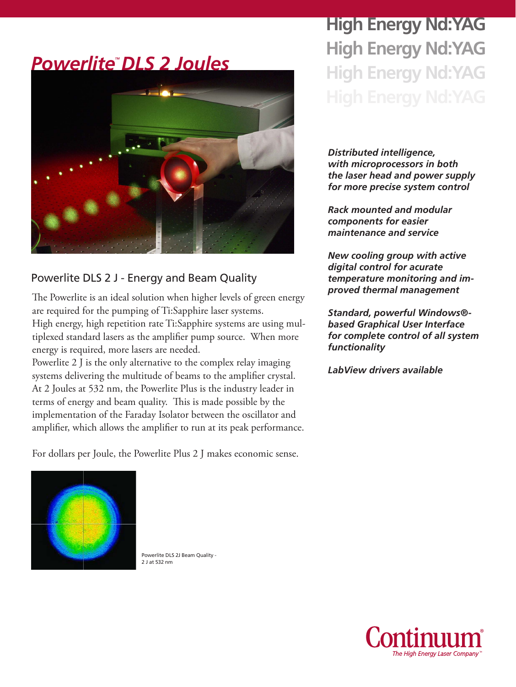#### *PowerliteTM DLS 2 Joules*



#### Powerlite DLS 2 J - Energy and Beam Quality

The Powerlite is an ideal solution when higher levels of green energy are required for the pumping of Ti:Sapphire laser systems. High energy, high repetition rate Ti:Sapphire systems are using multiplexed standard lasers as the amplifier pump source. When more energy is required, more lasers are needed.

Powerlite 2 J is the only alternative to the complex relay imaging systems delivering the multitude of beams to the amplifier crystal. At 2 Joules at 532 nm, the Powerlite Plus is the industry leader in terms of energy and beam quality. This is made possible by the implementation of the Faraday Isolator between the oscillator and amplifier, which allows the amplifier to run at its peak performance.

For dollars per Joule, the Powerlite Plus 2 J makes economic sense.

# **High Energy Nd:YAG High Energy Nd:YAG High Energy Nd:YAG**

*Distributed intelligence, with microprocessors in both the laser head and power supply for more precise system control*

*Rack mounted and modular components for easier maintenance and service*

*New cooling group with active digital control for acurate temperature monitoring and improved thermal management*

*Standard, powerful Windows® based Graphical User Interface for complete control of all system functionality*

*LabView drivers available*



Powerlite DLS 2J Beam Quality - 2 J at 532 nm

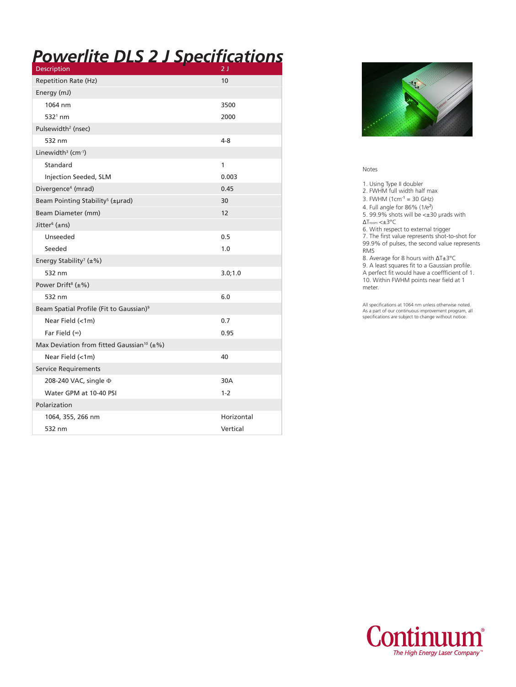## *Powerlite DLS 2 J Specifications*

| <b>Description</b>                                    | 2 J        |  |  |
|-------------------------------------------------------|------------|--|--|
| Repetition Rate (Hz)                                  | 10         |  |  |
| Energy (mJ)                                           |            |  |  |
| 1064 nm                                               | 3500       |  |  |
| $5321$ nm                                             | 2000       |  |  |
| Pulsewidth <sup>2</sup> (nsec)                        |            |  |  |
| 532 nm                                                | 4-8        |  |  |
| Linewidth <sup>3</sup> ( $cm^{-1}$ )                  |            |  |  |
| Standard                                              | 1          |  |  |
| Injection Seeded, SLM                                 | 0.003      |  |  |
| Divergence <sup>4</sup> (mrad)                        | 0.45       |  |  |
| Beam Pointing Stability <sup>5</sup> (±µrad)          | 30         |  |  |
| Beam Diameter (mm)                                    | 12         |  |  |
| Jitter <sup>6</sup> (±ns)                             |            |  |  |
| Unseeded                                              | 0.5        |  |  |
| Seeded                                                | 1.0        |  |  |
| Energy Stability <sup>7</sup> (±%)                    |            |  |  |
| 532 nm                                                | 3.0;1.0    |  |  |
| Power Drift <sup>8</sup> ( $\pm\%$ )                  |            |  |  |
| 532 nm                                                | 6.0        |  |  |
| Beam Spatial Profile (Fit to Gaussian) <sup>9</sup>   |            |  |  |
| Near Field $(<1m)$                                    | 0.7        |  |  |
| Far Field $(\infty)$                                  | 0.95       |  |  |
| Max Deviation from fitted Gaussian <sup>10</sup> (±%) |            |  |  |
| Near Field (<1m)                                      | 40         |  |  |
| <b>Service Requirements</b>                           |            |  |  |
| 208-240 VAC, single $\Phi$                            | 30A        |  |  |
| Water GPM at 10-40 PSI                                | $1 - 2$    |  |  |
| Polarization                                          |            |  |  |
| 1064, 355, 266 nm                                     | Horizontal |  |  |
| 532 nm                                                | Vertical   |  |  |
|                                                       |            |  |  |



#### Notes

1. Using Type II doubler

2. FWHM full width half max

3. FWHM  $(1cm^{-1} = 30$  GHz)

4. Full angle for 86% (1/e<sup>2</sup> )

5. 99.9% shots will be <±30 μrads with ΔTroom <±3°C

6. With respect to external trigger

7. The first value represents shot-to-shot for 99.9% of pulses, the second value represents RMS

8. Average for 8 hours with ΔT±3°C

9. A least squares fit to a Gaussian profile. A perfect fit would have a coeffficient of 1. 10. Within FWHM points near field at 1 meter.

All specifications at 1064 nm unless otherwise noted. As a part of our continuous improvement program, all specifications are subject to change without notice.